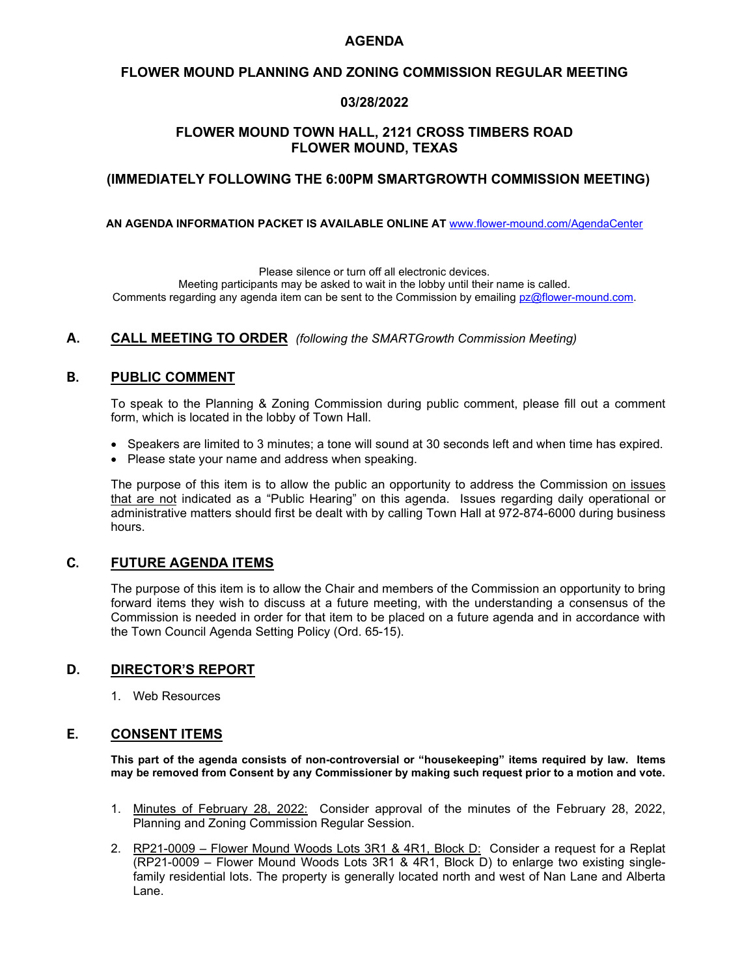# **AGENDA**

# **FLOWER MOUND PLANNING AND ZONING COMMISSION REGULAR MEETING**

#### **03/28/2022**

# **FLOWER MOUND TOWN HALL, 2121 CROSS TIMBERS ROAD FLOWER MOUND, TEXAS**

#### **(IMMEDIATELY FOLLOWING THE 6:00PM SMARTGROWTH COMMISSION MEETING)**

**AN AGENDA INFORMATION PACKET IS AVAILABLE ONLINE AT** [www.flower-mound.com/AgendaCenter](http://www.flower-mound.com/AgendaCenter)

Please silence or turn off all electronic devices. Meeting participants may be asked to wait in the lobby until their name is called. Comments regarding any agenda item can be sent to the Commission by emailing [pz@flower-mound.com.](mailto:pz@flower-mound.com)

# **A. CALL MEETING TO ORDER** *(following the SMARTGrowth Commission Meeting)*

# **B. PUBLIC COMMENT**

To speak to the Planning & Zoning Commission during public comment, please fill out a comment form, which is located in the lobby of Town Hall.

- Speakers are limited to 3 minutes; a tone will sound at 30 seconds left and when time has expired.
- Please state your name and address when speaking.

The purpose of this item is to allow the public an opportunity to address the Commission on issues that are not indicated as a "Public Hearing" on this agenda. Issues regarding daily operational or administrative matters should first be dealt with by calling Town Hall at 972-874-6000 during business hours.

# **C. FUTURE AGENDA ITEMS**

The purpose of this item is to allow the Chair and members of the Commission an opportunity to bring forward items they wish to discuss at a future meeting, with the understanding a consensus of the Commission is needed in order for that item to be placed on a future agenda and in accordance with the Town Council Agenda Setting Policy (Ord. 65-15).

# **D. DIRECTOR'S REPORT**

1. Web Resources

# **E. CONSENT ITEMS**

**This part of the agenda consists of non-controversial or "housekeeping" items required by law. Items may be removed from Consent by any Commissioner by making such request prior to a motion and vote.**

- 1. Minutes of February 28, 2022: Consider approval of the minutes of the February 28, 2022, Planning and Zoning Commission Regular Session.
- 2. RP21-0009 Flower Mound Woods Lots 3R1 & 4R1, Block D: Consider a request for a Replat (RP21-0009 – Flower Mound Woods Lots 3R1 & 4R1, Block D) to enlarge two existing singlefamily residential lots. The property is generally located north and west of Nan Lane and Alberta Lane.